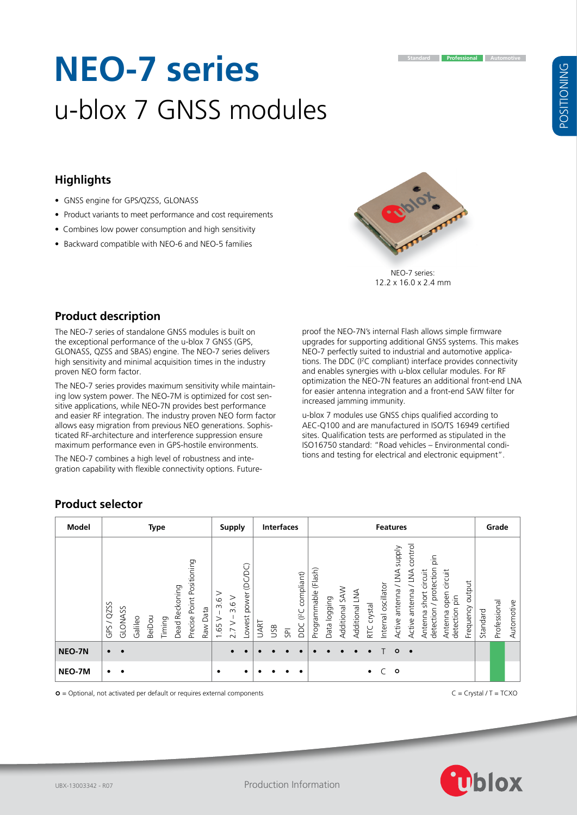# **POSITIONING** POSITIONING

## **Highlights**

• GNSS engine for GPS/QZSS, GLONASS

**Product description**

proven NEO form factor.

• Product variants to meet performance and cost requirements

**NEO-7 series**

u-blox 7 GNSS modules

- Combines low power consumption and high sensitivity
- Backward compatible with NEO-6 and NEO-5 families

The NEO-7 series of standalone GNSS modules is built on the exceptional performance of the u-blox 7 GNSS (GPS, GLONASS, QZSS and SBAS) engine. The NEO-7 series delivers high sensitivity and minimal acquisition times in the industry

The NEO-7 series provides maximum sensitivity while maintaining low system power. The NEO-7M is optimized for cost sensitive applications, while NEO-7N provides best performance and easier RF integration. The industry proven NEO form factor allows easy migration from previous NEO generations. Sophisticated RF-architecture and interference suppression ensure maximum performance even in GPS-hostile environments. The NEO-7 combines a high level of robustness and integration capability with flexible connectivity options. Futureproof the NEO-7N's internal Flash allows simple firmware upgrades for supporting additional GNSS systems. This makes NEO-7 perfectly suited to industrial and automotive applications. The DDC (I 2 C compliant) interface provides connectivity and enables synergies with u-blox cellular modules. For RF optimization the NEO-7N features an additional front-end LNA for easier antenna integration and a front-end SAW filter for increased jamming immunity.

u-blox 7 modules use GNSS chips qualified according to AEC-Q100 and are manufactured in ISO/TS 16949 certified sites. Qualification tests are performed as stipulated in the ISO16750 standard: "Road vehicles – Environmental conditions and testing for electrical and electronic equipment".

# **Product selector**

| Model         | <b>Type</b>                                                                                                                      | <b>Supply</b>                                                          | <b>Interfaces</b>                                                 | <b>Features</b>                                                                                                                                                                                                                                                                                                                                                                     | Grade                                  |
|---------------|----------------------------------------------------------------------------------------------------------------------------------|------------------------------------------------------------------------|-------------------------------------------------------------------|-------------------------------------------------------------------------------------------------------------------------------------------------------------------------------------------------------------------------------------------------------------------------------------------------------------------------------------------------------------------------------------|----------------------------------------|
|               | Precise Point Positioning<br>Dead Reckoning<br>QZSS<br>GLONASS<br>Raw Data<br>BeiDou<br>Galileo<br>Timing<br>$\checkmark$<br>GPS | (DC)<br>ā<br>$\,>$<br>power<br>3.6V<br>3.6<br>Lowest<br>1.65 V<br>2.7V | compliant)<br>$($ <sup>2</sup> C<br><b>UART</b><br>pc<br>USB<br>货 | control<br><b>Addns</b><br>$\frac{1}{\tilde{D}}$<br>protection<br>Programmable (Flash)<br>LNA<br>VNV/<br>circuit<br>circuit<br>output<br>Internal oscillator<br>$\overline{\phantom{0}}$<br>Additional SAW<br>Active antenna<br>Active antenna<br>Additional LNA<br>open<br>short<br>detection pin<br>Data logging<br>RTC crystal<br>detection /<br>Frequency<br>Antenna<br>Antenna | Professional<br>Automotive<br>Standard |
| <b>NEO-7N</b> | $\bullet$<br>$\bullet$                                                                                                           |                                                                        |                                                                   | $\circ$<br>$\bullet$                                                                                                                                                                                                                                                                                                                                                                |                                        |
| NEO-7M        | $\bullet$<br>$\bullet$                                                                                                           | $\bullet$<br>٠                                                         |                                                                   | $\circ$<br>$\bullet$                                                                                                                                                                                                                                                                                                                                                                |                                        |

 $\circ$  = Optional, not activated per default or requires external components  $\circ$  = C = Crystal / T = TCXO



12.2 x 16.0 x 2.4 mm